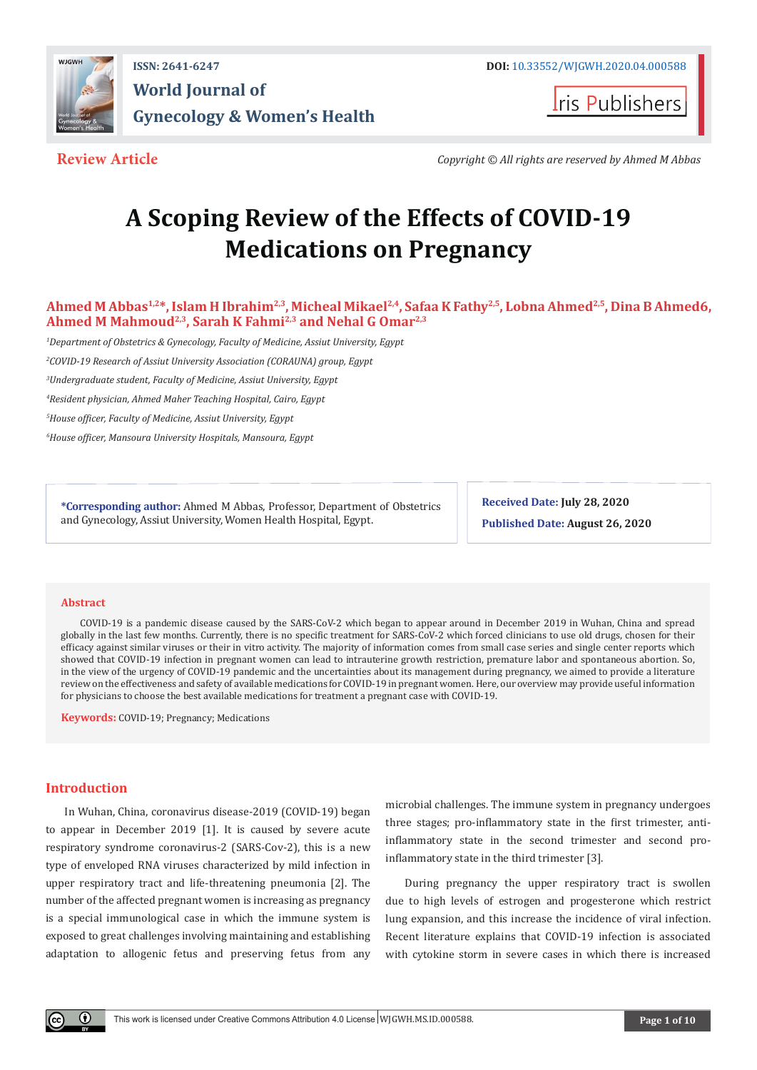

**ISSN: 2641-6247 DOI:** [10.33552/WJGWH.2020.04.000588](http://dx.doi.org/10.33552/WJGWH.2020.04.000588) **World Journal of Gynecology & Women's Health**

**Iris Publishers** 

**Review Article** *Copyright © All rights are reserved by Ahmed M Abbas*

# **A Scoping Review of the Effects of COVID-19 Medications on Pregnancy**

Ahmed M Abbas<sup>1,2\*</sup>, Islam H Ibrahim<sup>2,3</sup>, Micheal Mikael<sup>2,4</sup>, Safaa K Fathy<sup>2,5</sup>, Lobna Ahmed<sup>2,5</sup>, Dina B Ahmed6, **Ahmed M Mahmoud2,3, Sarah K Fahmi2,3 and Nehal G Omar2,3**

*1 Department of Obstetrics & Gynecology, Faculty of Medicine, Assiut University, Egypt*

*2 COVID-19 Research of Assiut University Association (CORAUNA) group, Egypt*

*3 Undergraduate student, Faculty of Medicine, Assiut University, Egypt*

*4 Resident physician, Ahmed Maher Teaching Hospital, Cairo, Egypt*

*5 House officer, Faculty of Medicine, Assiut University, Egypt*

*6 House officer, Mansoura University Hospitals, Mansoura, Egypt*

**\*Corresponding author:** Ahmed M Abbas, Professor, Department of Obstetrics and Gynecology, Assiut University, Women Health Hospital, Egypt.

**Received Date: July 28, 2020 Published Date: August 26, 2020**

#### **Abstract**

COVID-19 is a pandemic disease caused by the SARS-CoV-2 which began to appear around in December 2019 in Wuhan, China and spread globally in the last few months. Currently, there is no specific treatment for SARS-CoV-2 which forced clinicians to use old drugs, chosen for their efficacy against similar viruses or their in vitro activity. The majority of information comes from small case series and single center reports which showed that COVID-19 infection in pregnant women can lead to intrauterine growth restriction, premature labor and spontaneous abortion. So, in the view of the urgency of COVID-19 pandemic and the uncertainties about its management during pregnancy, we aimed to provide a literature review on the effectiveness and safety of available medications for COVID-19 in pregnant women. Here, our overview may provide useful information for physicians to choose the best available medications for treatment a pregnant case with COVID-19.

**Keywords:** COVID-19; Pregnancy; Medications

#### **Introduction**

In Wuhan, China, coronavirus disease-2019 (COVID-19) began to appear in December 2019 [1]. It is caused by severe acute respiratory syndrome coronavirus-2 (SARS-Cov-2), this is a new type of enveloped RNA viruses characterized by mild infection in upper respiratory tract and life-threatening pneumonia [2]. The number of the affected pregnant women is increasing as pregnancy is a special immunological case in which the immune system is exposed to great challenges involving maintaining and establishing adaptation to allogenic fetus and preserving fetus from any

microbial challenges. The immune system in pregnancy undergoes three stages; pro-inflammatory state in the first trimester, antiinflammatory state in the second trimester and second proinflammatory state in the third trimester [3].

During pregnancy the upper respiratory tract is swollen due to high levels of estrogen and progesterone which restrict lung expansion, and this increase the incidence of viral infection. Recent literature explains that COVID-19 infection is associated with cytokine storm in severe cases in which there is increased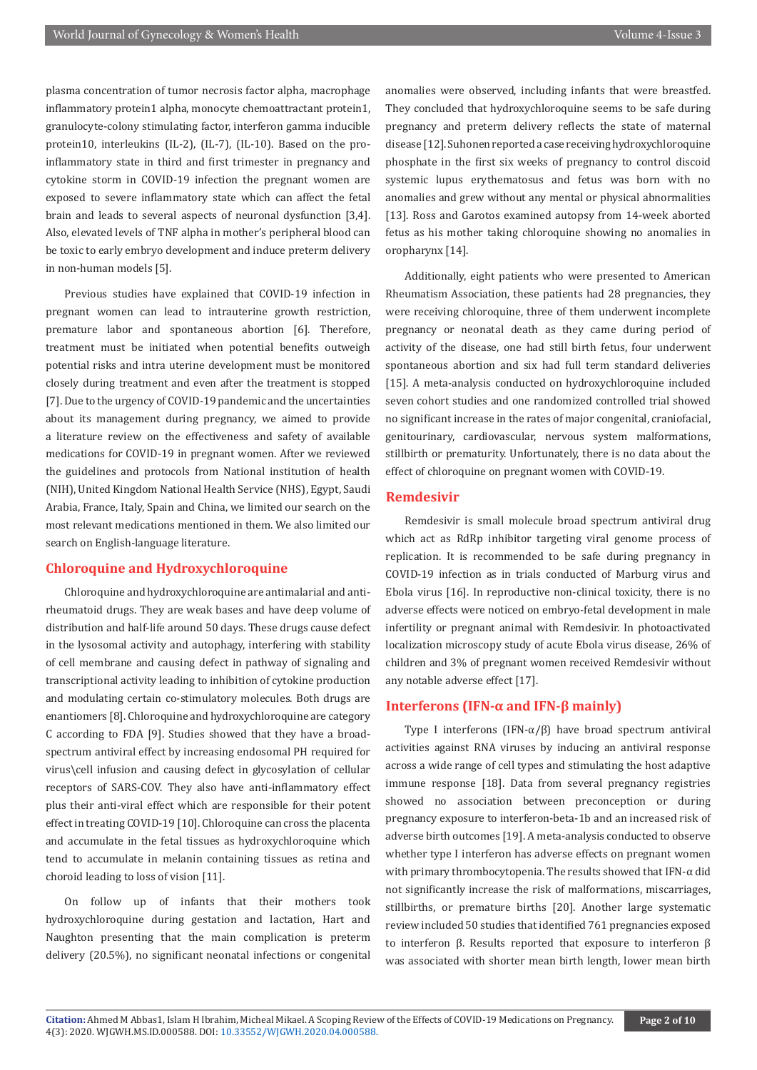plasma concentration of tumor necrosis factor alpha, macrophage inflammatory protein1 alpha, monocyte chemoattractant protein1, granulocyte-colony stimulating factor, interferon gamma inducible protein10, interleukins (IL-2), (IL-7), (IL-10). Based on the proinflammatory state in third and first trimester in pregnancy and cytokine storm in COVID-19 infection the pregnant women are exposed to severe inflammatory state which can affect the fetal brain and leads to several aspects of neuronal dysfunction [3,4]. Also, elevated levels of TNF alpha in mother's peripheral blood can be toxic to early embryo development and induce preterm delivery in non-human models [5].

Previous studies have explained that COVID-19 infection in pregnant women can lead to intrauterine growth restriction, premature labor and spontaneous abortion [6]. Therefore, treatment must be initiated when potential benefits outweigh potential risks and intra uterine development must be monitored closely during treatment and even after the treatment is stopped [7]. Due to the urgency of COVID-19 pandemic and the uncertainties about its management during pregnancy, we aimed to provide a literature review on the effectiveness and safety of available medications for COVID-19 in pregnant women. After we reviewed the guidelines and protocols from National institution of health (NIH), United Kingdom National Health Service (NHS), Egypt, Saudi Arabia, France, Italy, Spain and China, we limited our search on the most relevant medications mentioned in them. We also limited our search on English-language literature.

#### **Chloroquine and Hydroxychloroquine**

Chloroquine and hydroxychloroquine are antimalarial and antirheumatoid drugs. They are weak bases and have deep volume of distribution and half-life around 50 days. These drugs cause defect in the lysosomal activity and autophagy, interfering with stability of cell membrane and causing defect in pathway of signaling and transcriptional activity leading to inhibition of cytokine production and modulating certain co-stimulatory molecules. Both drugs are enantiomers [8]. Chloroquine and hydroxychloroquine are category C according to FDA [9]. Studies showed that they have a broadspectrum antiviral effect by increasing endosomal PH required for virus\cell infusion and causing defect in glycosylation of cellular receptors of SARS-COV. They also have anti-inflammatory effect plus their anti-viral effect which are responsible for their potent effect in treating COVID-19 [10]. Chloroquine can cross the placenta and accumulate in the fetal tissues as hydroxychloroquine which tend to accumulate in melanin containing tissues as retina and choroid leading to loss of vision [11].

On follow up of infants that their mothers took hydroxychloroquine during gestation and lactation, Hart and Naughton presenting that the main complication is preterm delivery (20.5%), no significant neonatal infections or congenital

anomalies were observed, including infants that were breastfed. They concluded that hydroxychloroquine seems to be safe during pregnancy and preterm delivery reflects the state of maternal disease [12]. Suhonen reported a case receiving hydroxychloroquine phosphate in the first six weeks of pregnancy to control discoid systemic lupus erythematosus and fetus was born with no anomalies and grew without any mental or physical abnormalities [13]. Ross and Garotos examined autopsy from 14-week aborted fetus as his mother taking chloroquine showing no anomalies in oropharynx [14].

Additionally, eight patients who were presented to American Rheumatism Association, these patients had 28 pregnancies, they were receiving chloroquine, three of them underwent incomplete pregnancy or neonatal death as they came during period of activity of the disease, one had still birth fetus, four underwent spontaneous abortion and six had full term standard deliveries [15]. A meta-analysis conducted on hydroxychloroquine included seven cohort studies and one randomized controlled trial showed no significant increase in the rates of major congenital, craniofacial, genitourinary, cardiovascular, nervous system malformations, stillbirth or prematurity. Unfortunately, there is no data about the effect of chloroquine on pregnant women with COVID-19.

#### **Remdesivir**

Remdesivir is small molecule broad spectrum antiviral drug which act as RdRp inhibitor targeting viral genome process of replication. It is recommended to be safe during pregnancy in COVID-19 infection as in trials conducted of Marburg virus and Ebola virus [16]. In reproductive non-clinical toxicity, there is no adverse effects were noticed on embryo-fetal development in male infertility or pregnant animal with Remdesivir. In photoactivated localization microscopy study of acute Ebola virus disease, 26% of children and 3% of pregnant women received Remdesivir without any notable adverse effect [17].

#### **Interferons (IFN-α and IFN-β mainly)**

Type I interferons (IFN-α/β) have broad spectrum antiviral activities against RNA viruses by inducing an antiviral response across a wide range of cell types and stimulating the host adaptive immune response [18]. Data from several pregnancy registries showed no association between preconception or during pregnancy exposure to interferon-beta-1b and an increased risk of adverse birth outcomes [19]. A meta-analysis conducted to observe whether type I interferon has adverse effects on pregnant women with primary thrombocytopenia. The results showed that IFN-α did not significantly increase the risk of malformations, miscarriages, stillbirths, or premature births [20]. Another large systematic review included 50 studies that identified 761 pregnancies exposed to interferon β. Results reported that exposure to interferon β was associated with shorter mean birth length, lower mean birth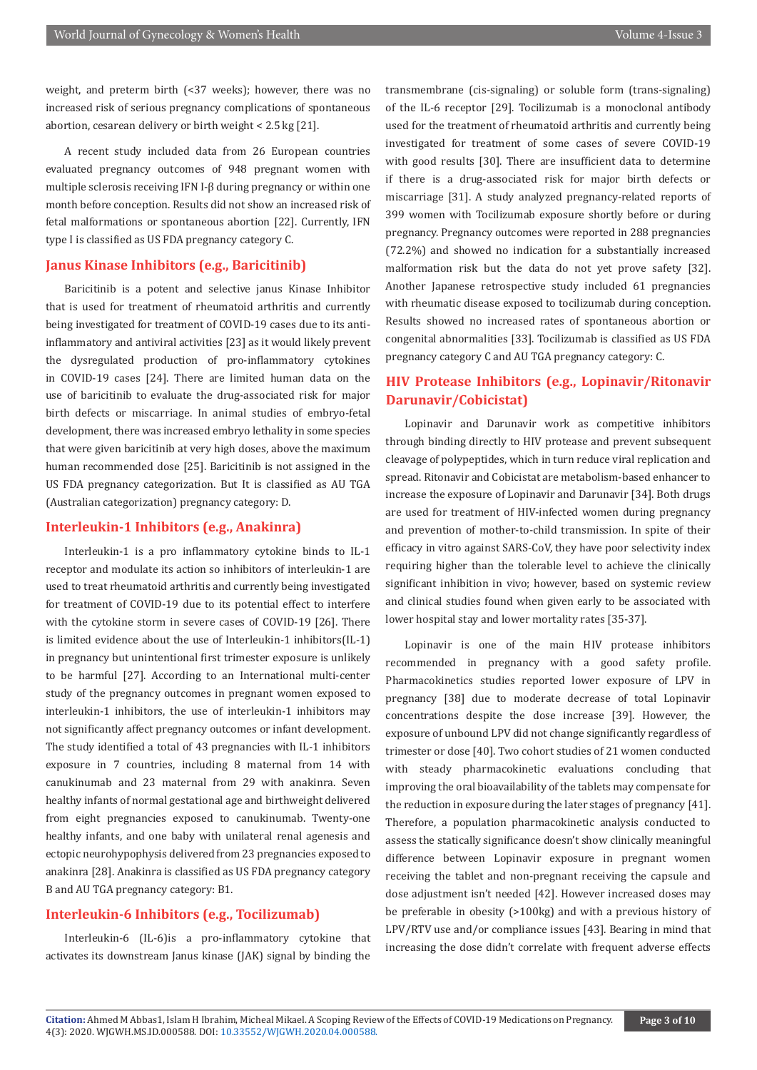weight, and preterm birth (<37 weeks); however, there was no increased risk of serious pregnancy complications of spontaneous abortion, cesarean delivery or birth weight < 2.5 kg [21].

A recent study included data from 26 European countries evaluated pregnancy outcomes of 948 pregnant women with multiple sclerosis receiving IFN I-β during pregnancy or within one month before conception. Results did not show an increased risk of fetal malformations or spontaneous abortion [22]. Currently, IFN type I is classified as US FDA pregnancy category C.

#### **Janus Kinase Inhibitors (e.g., Baricitinib)**

Baricitinib is a potent and selective janus Kinase Inhibitor that is used for treatment of rheumatoid arthritis and currently being investigated for treatment of COVID-19 cases due to its antiinflammatory and antiviral activities [23] as it would likely prevent the dysregulated production of pro-inflammatory cytokines in COVID-19 cases [24]. There are limited human data on the use of baricitinib to evaluate the drug-associated risk for major birth defects or miscarriage. In animal studies of embryo-fetal development, there was increased embryo lethality in some species that were given baricitinib at very high doses, above the maximum human recommended dose [25]. Baricitinib is not assigned in the US FDA pregnancy categorization. But It is classified as AU TGA (Australian categorization) pregnancy category: D.

### **Interleukin-1 Inhibitors (e.g., Anakinra)**

Interleukin-1 is a pro inflammatory cytokine binds to IL-1 receptor and modulate its action so inhibitors of interleukin-1 are used to treat rheumatoid arthritis and currently being investigated for treatment of COVID-19 due to its potential effect to interfere with the cytokine storm in severe cases of COVID-19 [26]. There is limited evidence about the use of Interleukin-1 inhibitors(IL-1) in pregnancy but unintentional first trimester exposure is unlikely to be harmful [27]. According to an International multi-center study of the pregnancy outcomes in pregnant women exposed to interleukin-1 inhibitors, the use of interleukin-1 inhibitors may not significantly affect pregnancy outcomes or infant development. The study identified a total of 43 pregnancies with IL-1 inhibitors exposure in 7 countries, including 8 maternal from 14 with canukinumab and 23 maternal from 29 with anakinra. Seven healthy infants of normal gestational age and birthweight delivered from eight pregnancies exposed to canukinumab. Twenty-one healthy infants, and one baby with unilateral renal agenesis and ectopic neurohypophysis delivered from 23 pregnancies exposed to anakinra [28]. Anakinra is classified as US FDA pregnancy category B and AU TGA pregnancy category: B1.

#### **Interleukin-6 Inhibitors (e.g., Tocilizumab)**

Interleukin-6 (IL-6)is a pro-inflammatory cytokine that activates its downstream Janus kinase (JAK) signal by binding the

transmembrane (cis-signaling) or soluble form (trans-signaling) of the IL-6 receptor [29]. Tocilizumab is a monoclonal antibody used for the treatment of rheumatoid arthritis and currently being investigated for treatment of some cases of severe COVID-19 with good results [30]. There are insufficient data to determine if there is a drug-associated risk for major birth defects or miscarriage [31]. A study analyzed pregnancy-related reports of 399 women with Tocilizumab exposure shortly before or during pregnancy. Pregnancy outcomes were reported in 288 pregnancies (72.2%) and showed no indication for a substantially increased malformation risk but the data do not yet prove safety [32]. Another Japanese retrospective study included 61 pregnancies with rheumatic disease exposed to tocilizumab during conception. Results showed no increased rates of spontaneous abortion or congenital abnormalities [33]. Tocilizumab is classified as US FDA pregnancy category C and AU TGA pregnancy category: C.

## **HIV Protease Inhibitors (e.g., Lopinavir/Ritonavir Darunavir/Cobicistat)**

Lopinavir and Darunavir work as competitive inhibitors through binding directly to HIV protease and prevent subsequent cleavage of polypeptides, which in turn reduce viral replication and spread. Ritonavir and Cobicistat are metabolism-based enhancer to increase the exposure of Lopinavir and Darunavir [34]. Both drugs are used for treatment of HIV-infected women during pregnancy and prevention of mother-to-child transmission. In spite of their efficacy in vitro against SARS-CoV, they have poor selectivity index requiring higher than the tolerable level to achieve the clinically significant inhibition in vivo; however, based on systemic review and clinical studies found when given early to be associated with lower hospital stay and lower mortality rates [35-37].

Lopinavir is one of the main HIV protease inhibitors recommended in pregnancy with a good safety profile. Pharmacokinetics studies reported lower exposure of LPV in pregnancy [38] due to moderate decrease of total Lopinavir concentrations despite the dose increase [39]. However, the exposure of unbound LPV did not change significantly regardless of trimester or dose [40]. Two cohort studies of 21 women conducted with steady pharmacokinetic evaluations concluding that improving the oral bioavailability of the tablets may compensate for the reduction in exposure during the later stages of pregnancy [41]. Therefore, a population pharmacokinetic analysis conducted to assess the statically significance doesn't show clinically meaningful difference between Lopinavir exposure in pregnant women receiving the tablet and non-pregnant receiving the capsule and dose adjustment isn't needed [42]. However increased doses may be preferable in obesity (>100kg) and with a previous history of LPV/RTV use and/or compliance issues [43]. Bearing in mind that increasing the dose didn't correlate with frequent adverse effects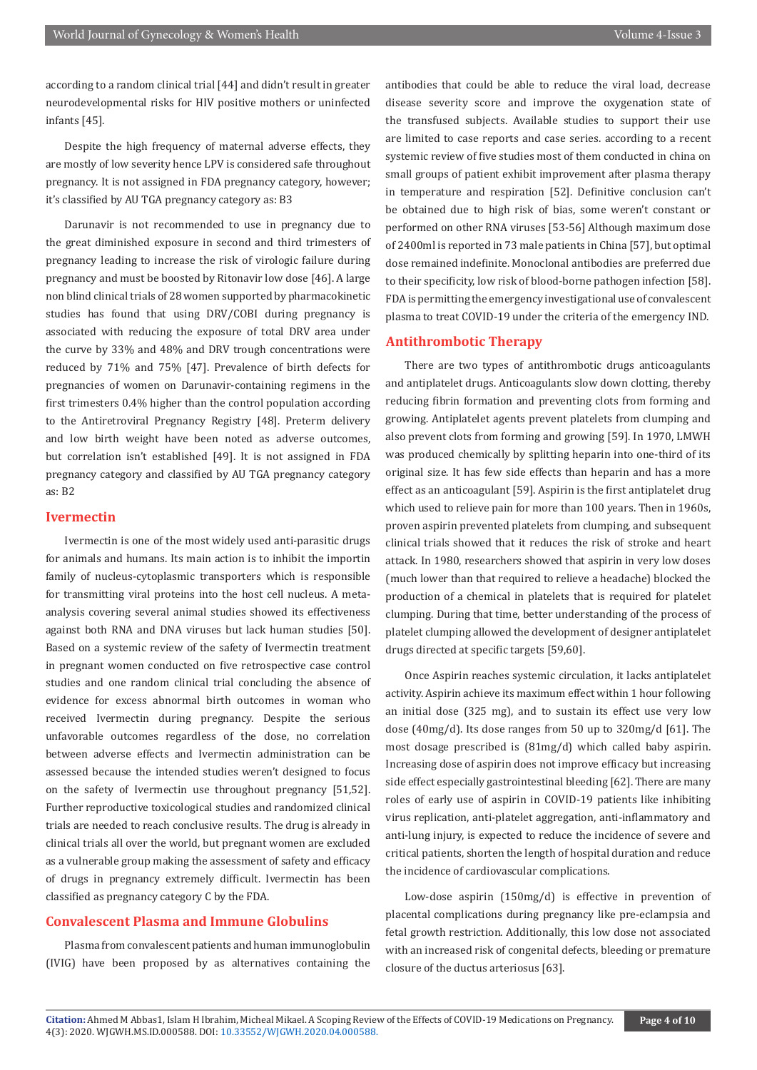according to a random clinical trial [44] and didn't result in greater neurodevelopmental risks for HIV positive mothers or uninfected infants [45].

Despite the high frequency of maternal adverse effects, they are mostly of low severity hence LPV is considered safe throughout pregnancy. It is not assigned in FDA pregnancy category, however; it's classified by AU TGA pregnancy category as: B3

Darunavir is not recommended to use in pregnancy due to the great diminished exposure in second and third trimesters of pregnancy leading to increase the risk of virologic failure during pregnancy and must be boosted by Ritonavir low dose [46]. A large non blind clinical trials of 28 women supported by pharmacokinetic studies has found that using DRV/COBI during pregnancy is associated with reducing the exposure of total DRV area under the curve by 33% and 48% and DRV trough concentrations were reduced by 71% and 75% [47]. Prevalence of birth defects for pregnancies of women on Darunavir-containing regimens in the first trimesters 0.4% higher than the control population according to the Antiretroviral Pregnancy Registry [48]. Preterm delivery and low birth weight have been noted as adverse outcomes, but correlation isn't established [49]. It is not assigned in FDA pregnancy category and classified by AU TGA pregnancy category as: B2

#### **Ivermectin**

Ivermectin is one of the most widely used anti-parasitic drugs for animals and humans. Its main action is to inhibit the importin family of nucleus-cytoplasmic transporters which is responsible for transmitting viral proteins into the host cell nucleus. A metaanalysis covering several animal studies showed its effectiveness against both RNA and DNA viruses but lack human studies [50]. Based on a systemic review of the safety of Ivermectin treatment in pregnant women conducted on five retrospective case control studies and one random clinical trial concluding the absence of evidence for excess abnormal birth outcomes in woman who received Ivermectin during pregnancy. Despite the serious unfavorable outcomes regardless of the dose, no correlation between adverse effects and Ivermectin administration can be assessed because the intended studies weren't designed to focus on the safety of Ivermectin use throughout pregnancy [51,52]. Further reproductive toxicological studies and randomized clinical trials are needed to reach conclusive results. The drug is already in clinical trials all over the world, but pregnant women are excluded as a vulnerable group making the assessment of safety and efficacy of drugs in pregnancy extremely difficult. Ivermectin has been classified as pregnancy category C by the FDA.

#### **Convalescent Plasma and Immune Globulins**

Plasma from convalescent patients and human immunoglobulin (IVIG) have been proposed by as alternatives containing the antibodies that could be able to reduce the viral load, decrease disease severity score and improve the oxygenation state of the transfused subjects. Available studies to support their use are limited to case reports and case series. according to a recent systemic review of five studies most of them conducted in china on small groups of patient exhibit improvement after plasma therapy in temperature and respiration [52]. Definitive conclusion can't be obtained due to high risk of bias, some weren't constant or performed on other RNA viruses [53-56] Although maximum dose of 2400ml is reported in 73 male patients in China [57], but optimal dose remained indefinite. Monoclonal antibodies are preferred due to their specificity, low risk of blood-borne pathogen infection [58]. FDA is permitting the emergency investigational use of convalescent plasma to treat COVID-19 under the criteria of the emergency IND.

#### **Antithrombotic Therapy**

There are two types of antithrombotic drugs anticoagulants and antiplatelet drugs. Anticoagulants slow down clotting, thereby reducing fibrin formation and preventing clots from forming and growing. Antiplatelet agents prevent platelets from clumping and also prevent clots from forming and growing [59]. In 1970, LMWH was produced chemically by splitting heparin into one-third of its original size. It has few side effects than heparin and has a more effect as an anticoagulant [59]. Aspirin is the first antiplatelet drug which used to relieve pain for more than 100 years. Then in 1960s, proven aspirin prevented platelets from clumping, and subsequent clinical trials showed that it reduces the risk of stroke and heart attack. In 1980, researchers showed that aspirin in very low doses (much lower than that required to relieve a headache) blocked the production of a chemical in platelets that is required for platelet clumping. During that time, better understanding of the process of platelet clumping allowed the development of designer antiplatelet drugs directed at specific targets [59,60].

Once Aspirin reaches systemic circulation, it lacks antiplatelet activity. Aspirin achieve its maximum effect within 1 hour following an initial dose (325 mg), and to sustain its effect use very low dose (40mg/d). Its dose ranges from 50 up to 320mg/d [61]. The most dosage prescribed is (81mg/d) which called baby aspirin. Increasing dose of aspirin does not improve efficacy but increasing side effect especially gastrointestinal bleeding [62]. There are many roles of early use of aspirin in COVID-19 patients like inhibiting virus replication, anti-platelet aggregation, anti-inflammatory and anti-lung injury, is expected to reduce the incidence of severe and critical patients, shorten the length of hospital duration and reduce the incidence of cardiovascular complications.

Low-dose aspirin (150mg/d) is effective in prevention of placental complications during pregnancy like pre-eclampsia and fetal growth restriction. Additionally, this low dose not associated with an increased risk of congenital defects, bleeding or premature closure of the ductus arteriosus [63].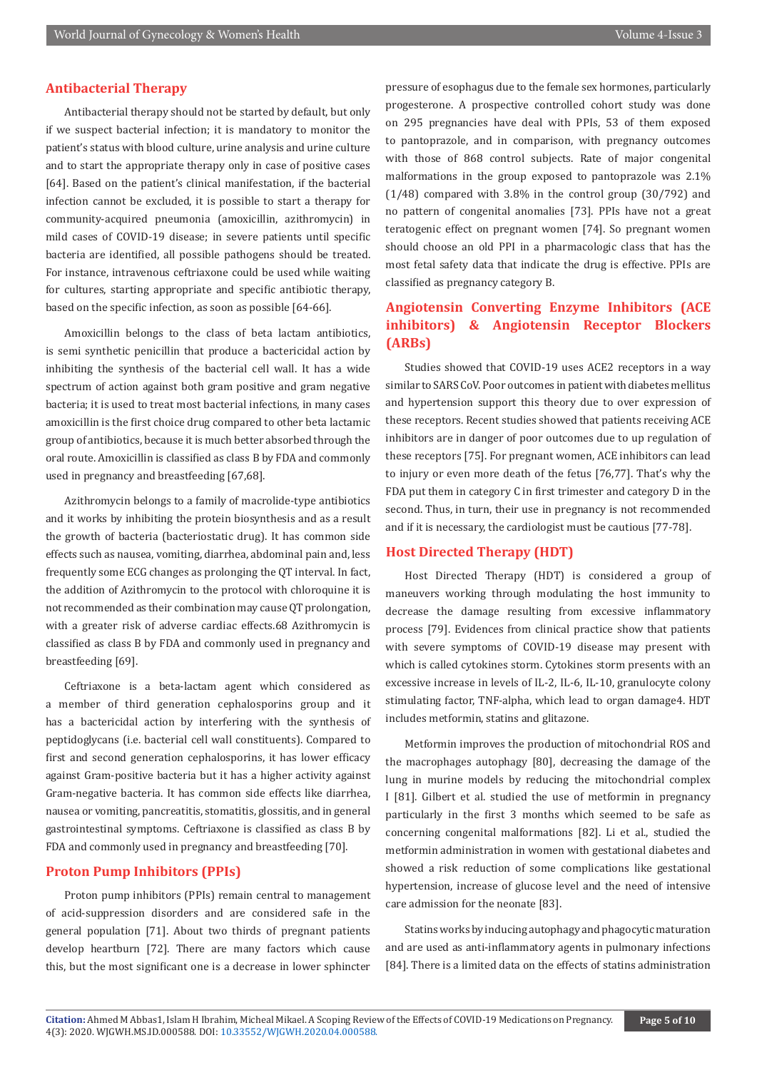#### **Antibacterial Therapy**

Antibacterial therapy should not be started by default, but only if we suspect bacterial infection; it is mandatory to monitor the patient's status with blood culture, urine analysis and urine culture and to start the appropriate therapy only in case of positive cases [64]. Based on the patient's clinical manifestation, if the bacterial infection cannot be excluded, it is possible to start a therapy for community-acquired pneumonia (amoxicillin, azithromycin) in mild cases of COVID-19 disease; in severe patients until specific bacteria are identified, all possible pathogens should be treated. For instance, intravenous ceftriaxone could be used while waiting for cultures, starting appropriate and specific antibiotic therapy, based on the specific infection, as soon as possible [64-66].

Amoxicillin belongs to the class of beta lactam antibiotics, is semi synthetic penicillin that produce a bactericidal action by inhibiting the synthesis of the bacterial cell wall. It has a wide spectrum of action against both gram positive and gram negative bacteria; it is used to treat most bacterial infections, in many cases amoxicillin is the first choice drug compared to other beta lactamic group of antibiotics, because it is much better absorbed through the oral route. Amoxicillin is classified as class B by FDA and commonly used in pregnancy and breastfeeding [67,68].

Azithromycin belongs to a family of macrolide-type antibiotics and it works by inhibiting the protein biosynthesis and as a result the growth of bacteria (bacteriostatic drug). It has common side effects such as nausea, vomiting, diarrhea, abdominal pain and, less frequently some ECG changes as prolonging the QT interval. In fact, the addition of Azithromycin to the protocol with chloroquine it is not recommended as their combination may cause QT prolongation, with a greater risk of adverse cardiac effects.68 Azithromycin is classified as class B by FDA and commonly used in pregnancy and breastfeeding [69].

Ceftriaxone is a beta-lactam agent which considered as a member of third generation cephalosporins group and it has a bactericidal action by interfering with the synthesis of peptidoglycans (i.e. bacterial cell wall constituents). Compared to first and second generation cephalosporins, it has lower efficacy against Gram-positive bacteria but it has a higher activity against Gram-negative bacteria. It has common side effects like diarrhea, nausea or vomiting, pancreatitis, stomatitis, glossitis, and in general gastrointestinal symptoms. Ceftriaxone is classified as class B by FDA and commonly used in pregnancy and breastfeeding [70].

#### **Proton Pump Inhibitors (PPIs)**

Proton pump inhibitors (PPIs) remain central to management of acid-suppression disorders and are considered safe in the general population [71]. About two thirds of pregnant patients develop heartburn [72]. There are many factors which cause this, but the most significant one is a decrease in lower sphincter

pressure of esophagus due to the female sex hormones, particularly progesterone. A prospective controlled cohort study was done on 295 pregnancies have deal with PPIs, 53 of them exposed to pantoprazole, and in comparison, with pregnancy outcomes with those of 868 control subjects. Rate of major congenital malformations in the group exposed to pantoprazole was 2.1% (1/48) compared with 3.8% in the control group (30/792) and no pattern of congenital anomalies [73]. PPIs have not a great teratogenic effect on pregnant women [74]. So pregnant women should choose an old PPI in a pharmacologic class that has the most fetal safety data that indicate the drug is effective. PPIs are classified as pregnancy category B.

# **Angiotensin Converting Enzyme Inhibitors (ACE inhibitors) & Angiotensin Receptor Blockers (ARBs)**

Studies showed that COVID-19 uses ACE2 receptors in a way similar to SARS CoV. Poor outcomes in patient with diabetes mellitus and hypertension support this theory due to over expression of these receptors. Recent studies showed that patients receiving ACE inhibitors are in danger of poor outcomes due to up regulation of these receptors [75]. For pregnant women, ACE inhibitors can lead to injury or even more death of the fetus [76,77]. That's why the FDA put them in category C in first trimester and category D in the second. Thus, in turn, their use in pregnancy is not recommended and if it is necessary, the cardiologist must be cautious [77-78].

#### **Host Directed Therapy (HDT)**

Host Directed Therapy (HDT) is considered a group of maneuvers working through modulating the host immunity to decrease the damage resulting from excessive inflammatory process [79]. Evidences from clinical practice show that patients with severe symptoms of COVID-19 disease may present with which is called cytokines storm. Cytokines storm presents with an excessive increase in levels of IL-2, IL-6, IL-10, granulocyte colony stimulating factor, TNF-alpha, which lead to organ damage4. HDT includes metformin, statins and glitazone.

Metformin improves the production of mitochondrial ROS and the macrophages autophagy [80], decreasing the damage of the lung in murine models by reducing the mitochondrial complex I [81]. Gilbert et al. studied the use of metformin in pregnancy particularly in the first 3 months which seemed to be safe as concerning congenital malformations [82]. Li et al., studied the metformin administration in women with gestational diabetes and showed a risk reduction of some complications like gestational hypertension, increase of glucose level and the need of intensive care admission for the neonate [83].

Statins works by inducing autophagy and phagocytic maturation and are used as anti-inflammatory agents in pulmonary infections [84]. There is a limited data on the effects of statins administration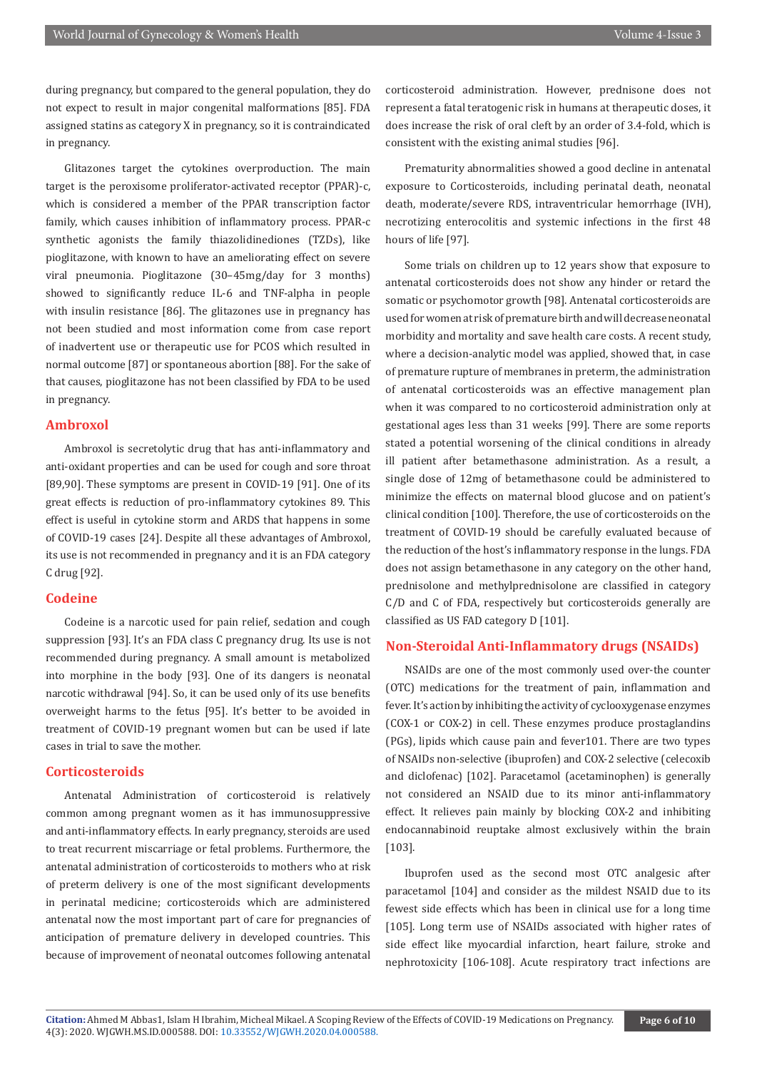during pregnancy, but compared to the general population, they do not expect to result in major congenital malformations [85]. FDA assigned statins as category X in pregnancy, so it is contraindicated in pregnancy.

Glitazones target the cytokines overproduction. The main target is the peroxisome proliferator-activated receptor (PPAR)-c, which is considered a member of the PPAR transcription factor family, which causes inhibition of inflammatory process. PPAR-c synthetic agonists the family thiazolidinediones (TZDs), like pioglitazone, with known to have an ameliorating effect on severe viral pneumonia. Pioglitazone (30–45mg/day for 3 months) showed to significantly reduce IL-6 and TNF-alpha in people with insulin resistance [86]. The glitazones use in pregnancy has not been studied and most information come from case report of inadvertent use or therapeutic use for PCOS which resulted in normal outcome [87] or spontaneous abortion [88]. For the sake of that causes, pioglitazone has not been classified by FDA to be used in pregnancy.

#### **Ambroxol**

Ambroxol is secretolytic drug that has anti-inflammatory and anti-oxidant properties and can be used for cough and sore throat [89,90]. These symptoms are present in COVID-19 [91]. One of its great effects is reduction of pro-inflammatory cytokines 89. This effect is useful in cytokine storm and ARDS that happens in some of COVID-19 cases [24]. Despite all these advantages of Ambroxol, its use is not recommended in pregnancy and it is an FDA category C drug [92].

#### **Codeine**

Codeine is a narcotic used for pain relief, sedation and cough suppression [93]. It's an FDA class C pregnancy drug. Its use is not recommended during pregnancy. A small amount is metabolized into morphine in the body [93]. One of its dangers is neonatal narcotic withdrawal [94]. So, it can be used only of its use benefits overweight harms to the fetus [95]. It's better to be avoided in treatment of COVID-19 pregnant women but can be used if late cases in trial to save the mother.

#### **Corticosteroids**

Antenatal Administration of corticosteroid is relatively common among pregnant women as it has immunosuppressive and anti-inflammatory effects. In early pregnancy, steroids are used to treat recurrent miscarriage or fetal problems. Furthermore, the antenatal administration of corticosteroids to mothers who at risk of preterm delivery is one of the most significant developments in perinatal medicine; corticosteroids which are administered antenatal now the most important part of care for pregnancies of anticipation of premature delivery in developed countries. This because of improvement of neonatal outcomes following antenatal

corticosteroid administration. However, prednisone does not represent a fatal teratogenic risk in humans at therapeutic doses, it does increase the risk of oral cleft by an order of 3.4-fold, which is consistent with the existing animal studies [96].

Prematurity abnormalities showed a good decline in antenatal exposure to Corticosteroids, including perinatal death, neonatal death, moderate/severe RDS, intraventricular hemorrhage (IVH), necrotizing enterocolitis and systemic infections in the first 48 hours of life [97].

Some trials on children up to 12 years show that exposure to antenatal corticosteroids does not show any hinder or retard the somatic or psychomotor growth [98]. Antenatal corticosteroids are used for women at risk of premature birth and will decrease neonatal morbidity and mortality and save health care costs. A recent study, where a decision-analytic model was applied, showed that, in case of premature rupture of membranes in preterm, the administration of antenatal corticosteroids was an effective management plan when it was compared to no corticosteroid administration only at gestational ages less than 31 weeks [99]. There are some reports stated a potential worsening of the clinical conditions in already ill patient after betamethasone administration. As a result, a single dose of 12mg of betamethasone could be administered to minimize the effects on maternal blood glucose and on patient's clinical condition [100]. Therefore, the use of corticosteroids on the treatment of COVID-19 should be carefully evaluated because of the reduction of the host's inflammatory response in the lungs. FDA does not assign betamethasone in any category on the other hand, prednisolone and methylprednisolone are classified in category C/D and C of FDA, respectively but corticosteroids generally are classified as US FAD category D [101].

#### **Non-Steroidal Anti-Inflammatory drugs (NSAIDs)**

NSAIDs are one of the most commonly used over-the counter (OTC) medications for the treatment of pain, inflammation and fever. It's action by inhibiting the activity of cyclooxygenase enzymes (COX-1 or COX-2) in cell. These enzymes produce prostaglandins (PGs), lipids which cause pain and fever101. There are two types of NSAIDs non-selective (ibuprofen) and COX-2 selective (celecoxib and diclofenac) [102]. Paracetamol (acetaminophen) is generally not considered an NSAID due to its minor anti-inflammatory effect. It relieves pain mainly by blocking COX-2 and inhibiting endocannabinoid reuptake almost exclusively within the brain [103].

Ibuprofen used as the second most OTC analgesic after paracetamol [104] and consider as the mildest NSAID due to its fewest side effects which has been in clinical use for a long time [105]. Long term use of NSAIDs associated with higher rates of side effect like myocardial infarction, heart failure, stroke and nephrotoxicity [106-108]. Acute respiratory tract infections are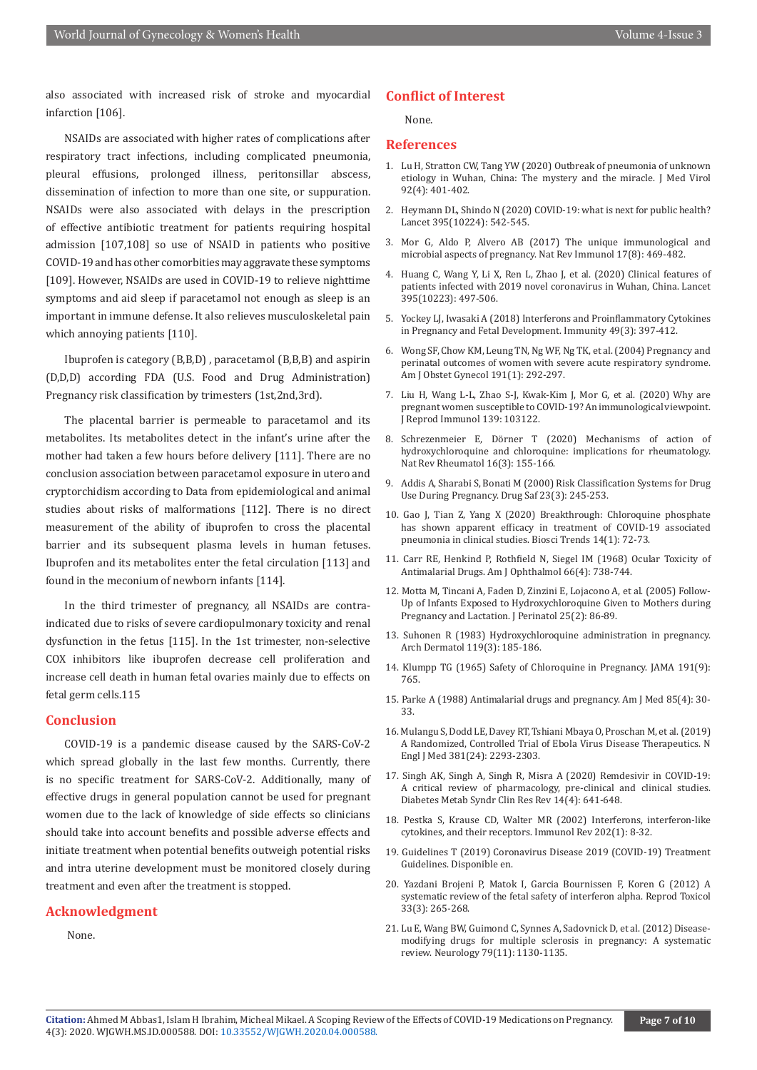also associated with increased risk of stroke and myocardial infarction [106].

NSAIDs are associated with higher rates of complications after respiratory tract infections, including complicated pneumonia, pleural effusions, prolonged illness, peritonsillar abscess, dissemination of infection to more than one site, or suppuration. NSAIDs were also associated with delays in the prescription of effective antibiotic treatment for patients requiring hospital admission [107,108] so use of NSAID in patients who positive COVID-19 and has other comorbities may aggravate these symptoms [109]. However, NSAIDs are used in COVID-19 to relieve nighttime symptoms and aid sleep if paracetamol not enough as sleep is an important in immune defense. It also relieves musculoskeletal pain which annoying patients [110].

Ibuprofen is category (B,B,D) , paracetamol (B,B,B) and aspirin (D,D,D) according FDA (U.S. Food and Drug Administration) Pregnancy risk classification by trimesters (1st,2nd,3rd).

The placental barrier is permeable to paracetamol and its metabolites. Its metabolites detect in the infant's urine after the mother had taken a few hours before delivery [111]. There are no conclusion association between paracetamol exposure in utero and cryptorchidism according to Data from epidemiological and animal studies about risks of malformations [112]. There is no direct measurement of the ability of ibuprofen to cross the placental barrier and its subsequent plasma levels in human fetuses. Ibuprofen and its metabolites enter the fetal circulation [113] and found in the meconium of newborn infants [114].

In the third trimester of pregnancy, all NSAIDs are contraindicated due to risks of severe cardiopulmonary toxicity and renal dysfunction in the fetus [115]. In the 1st trimester, non-selective COX inhibitors like ibuprofen decrease cell proliferation and increase cell death in human fetal ovaries mainly due to effects on fetal germ cells.115

#### **Conclusion**

COVID-19 is a pandemic disease caused by the SARS-CoV-2 which spread globally in the last few months. Currently, there is no specific treatment for SARS-CoV-2. Additionally, many of effective drugs in general population cannot be used for pregnant women due to the lack of knowledge of side effects so clinicians should take into account benefits and possible adverse effects and initiate treatment when potential benefits outweigh potential risks and intra uterine development must be monitored closely during treatment and even after the treatment is stopped.

#### **Acknowledgment**

None.

#### **Conflict of Interest**

None.

#### **References**

- 1. [Lu H, Stratton CW, Tang YW \(2020\) Outbreak of pneumonia of unknown](https://pubmed.ncbi.nlm.nih.gov/31950516/) [etiology in Wuhan, China: The mystery and the miracle. J Med Virol](https://pubmed.ncbi.nlm.nih.gov/31950516/) [92\(4\): 401-402.](https://pubmed.ncbi.nlm.nih.gov/31950516/)
- 2. [Heymann DL, Shindo N \(2020\) COVID-19: what is next for public health?](https://pubmed.ncbi.nlm.nih.gov/32061313/) [Lancet 395\(10224\): 542-545.](https://pubmed.ncbi.nlm.nih.gov/32061313/)
- 3. Mor G, Aldo P, Alvero AB (2017) The unique immunological and microbial aspects of pregnancy. Nat Rev Immunol 17(8): 469-482.
- 4. Huang C, Wang Y, Li X, Ren L, Zhao J, et al. (2020) Clinical features of patients infected with 2019 novel coronavirus in Wuhan, China. Lancet 395(10223): 497-506.
- 5. [Yockey LJ, Iwasaki A \(2018\) Interferons and Proinflammatory Cytokines](https://pubmed.ncbi.nlm.nih.gov/30231982/) [in Pregnancy and Fetal Development. Immunity 49\(3\): 397-412.](https://pubmed.ncbi.nlm.nih.gov/30231982/)
- 6. [Wong SF, Chow KM, Leung TN, Ng WF, Ng TK, et al. \(2004\) Pregnancy and](https://pubmed.ncbi.nlm.nih.gov/15295381/) [perinatal outcomes of women with severe acute respiratory syndrome.](https://pubmed.ncbi.nlm.nih.gov/15295381/) [Am J Obstet Gynecol 191\(1\): 292-297.](https://pubmed.ncbi.nlm.nih.gov/15295381/)
- 7. [Liu H, Wang L-L, Zhao S-J, Kwak-Kim J, Mor G, et al. \(2020\) Why are](https://pubmed.ncbi.nlm.nih.gov/32244166/) [pregnant women susceptible to COVID-19? An immunological viewpoint.](https://pubmed.ncbi.nlm.nih.gov/32244166/) [J Reprod Immunol 139: 103122.](https://pubmed.ncbi.nlm.nih.gov/32244166/)
- 8. [Schrezenmeier E, Dörner T \(2020\) Mechanisms of action of](https://pubmed.ncbi.nlm.nih.gov/32034323/) [hydroxychloroquine and chloroquine: implications for rheumatology.](https://pubmed.ncbi.nlm.nih.gov/32034323/) [Nat Rev Rheumatol 16\(3\): 155-166.](https://pubmed.ncbi.nlm.nih.gov/32034323/)
- 9. [Addis A, Sharabi S, Bonati M \(2000\) Risk Classification Systems for Drug](https://pubmed.ncbi.nlm.nih.gov/11005706/) [Use During Pregnancy. Drug Saf 23\(3\): 245-253.](https://pubmed.ncbi.nlm.nih.gov/11005706/)
- 10. [Gao J, Tian Z, Yang X \(2020\) Breakthrough: Chloroquine phosphate](https://pubmed.ncbi.nlm.nih.gov/32074550/) [has shown apparent efficacy in treatment of COVID-19 associated](https://pubmed.ncbi.nlm.nih.gov/32074550/) [pneumonia in clinical studies. Biosci Trends 14\(1\): 72-73.](https://pubmed.ncbi.nlm.nih.gov/32074550/)
- 11. [Carr RE, Henkind P, Rothfield N, Siegel IM \(1968\) Ocular Toxicity of](https://pubmed.ncbi.nlm.nih.gov/5729592/) [Antimalarial Drugs. Am J Ophthalmol 66\(4\): 738-744.](https://pubmed.ncbi.nlm.nih.gov/5729592/)
- 12. [Motta M, Tincani A, Faden D, Zinzini E, Lojacono A, et al. \(2005\) Follow-](https://pubmed.ncbi.nlm.nih.gov/15496869/)[Up of Infants Exposed to Hydroxychloroquine Given to Mothers during](https://pubmed.ncbi.nlm.nih.gov/15496869/) [Pregnancy and Lactation. J Perinatol 25\(2\): 86-89.](https://pubmed.ncbi.nlm.nih.gov/15496869/)
- 13. Suhonen R (1983) Hydroxychloroquine administration in pregnancy. Arch Dermatol 119(3): 185-186.
- 14. Klumpp TG (1965) Safety of Chloroquine in Pregnancy. JAMA 191(9): 765.
- 15. [Parke A \(1988\) Antimalarial drugs and pregnancy. Am J Med 85\(4\): 30-](https://www.sciencedirect.com/science/article/abs/pii/0002934388903592) [33.](https://www.sciencedirect.com/science/article/abs/pii/0002934388903592)
- 16. [Mulangu S, Dodd LE, Davey RT, Tshiani Mbaya O, Proschan M, et al. \(2019\)](https://pubmed.ncbi.nlm.nih.gov/31774950/) [A Randomized, Controlled Trial of Ebola Virus Disease Therapeutics. N](https://pubmed.ncbi.nlm.nih.gov/31774950/) [Engl J Med 381\(24\): 2293-2303.](https://pubmed.ncbi.nlm.nih.gov/31774950/)
- 17. [Singh AK, Singh A, Singh R, Misra A \(2020\) Remdesivir in COVID-19:](https://pubmed.ncbi.nlm.nih.gov/32428865/) [A critical review of pharmacology, pre-clinical and clinical studies.](https://pubmed.ncbi.nlm.nih.gov/32428865/) [Diabetes Metab Syndr Clin Res Rev 14\(4\): 641-648.](https://pubmed.ncbi.nlm.nih.gov/32428865/)
- 18. [Pestka S, Krause CD, Walter MR \(2002\) Interferons, interferon-like](https://pubmed.ncbi.nlm.nih.gov/15546383/) [cytokines, and their receptors. Immunol Rev 202\(1\): 8-32.](https://pubmed.ncbi.nlm.nih.gov/15546383/)
- 19. Guidelines T (2019) Coronavirus Disease 2019 (COVID-19) Treatment Guidelines. Disponible en.
- 20. [Yazdani Brojeni P, Matok I, Garcia Bournissen F, Koren G \(2012\) A](https://pubmed.ncbi.nlm.nih.gov/22200624/) [systematic review of the fetal safety of interferon alpha. Reprod Toxicol](https://pubmed.ncbi.nlm.nih.gov/22200624/) [33\(3\): 265-268.](https://pubmed.ncbi.nlm.nih.gov/22200624/)
- 21. [Lu E, Wang BW, Guimond C, Synnes A, Sadovnick D, et al. \(2012\) Disease](https://pubmed.ncbi.nlm.nih.gov/22933738/)[modifying drugs for multiple sclerosis in pregnancy: A systematic](https://pubmed.ncbi.nlm.nih.gov/22933738/) [review. Neurology 79\(11\): 1130-1135.](https://pubmed.ncbi.nlm.nih.gov/22933738/)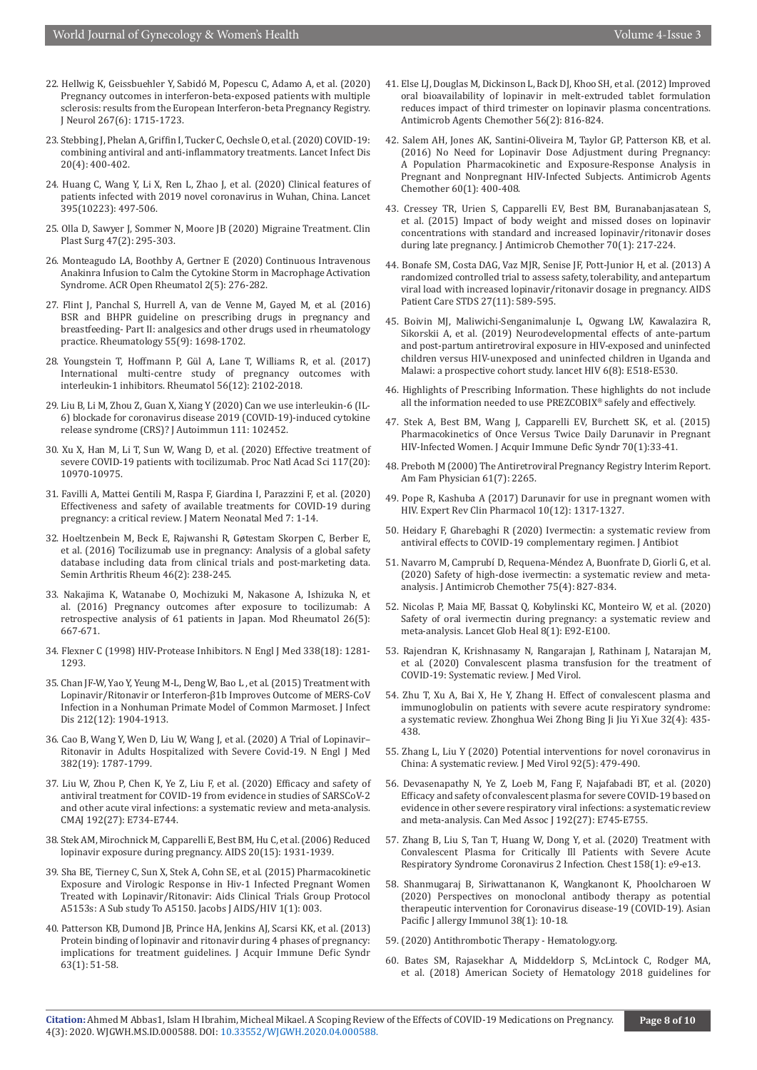- 22. [Hellwig K, Geissbuehler Y, Sabidó M, Popescu C, Adamo A, et al. \(2020\)](https://pubmed.ncbi.nlm.nih.gov/32100126/)  [Pregnancy outcomes in interferon-beta-exposed patients with multiple](https://pubmed.ncbi.nlm.nih.gov/32100126/)  [sclerosis: results from the European Interferon-beta Pregnancy Registry.](https://pubmed.ncbi.nlm.nih.gov/32100126/)  [J Neurol 267\(6\): 1715-1723.](https://pubmed.ncbi.nlm.nih.gov/32100126/)
- 23. [Stebbing J, Phelan A, Griffin I, Tucker C, Oechsle O, et al. \(2020\) COVID-19:](https://pubmed.ncbi.nlm.nih.gov/32113509/)  [combining antiviral and anti-inflammatory treatments. Lancet Infect Dis](https://pubmed.ncbi.nlm.nih.gov/32113509/)  [20\(4\): 400-402.](https://pubmed.ncbi.nlm.nih.gov/32113509/)
- 24. [Huang C, Wang Y, Li X, Ren L, Zhao J, et al. \(2020\) Clinical features of](https://www.thelancet.com/journals/lancet/article/PIIS0140-6736(20)30183-5/fulltext)  [patients infected with 2019 novel coronavirus in Wuhan, China. Lancet](https://www.thelancet.com/journals/lancet/article/PIIS0140-6736(20)30183-5/fulltext)  [395\(10223\): 497-506.](https://www.thelancet.com/journals/lancet/article/PIIS0140-6736(20)30183-5/fulltext)
- 25. [Olla D, Sawyer J, Sommer N, Moore JB \(2020\) Migraine Treatment. Clin](https://pubmed.ncbi.nlm.nih.gov/32115055/)  [Plast Surg 47\(2\): 295-303.](https://pubmed.ncbi.nlm.nih.gov/32115055/)
- 26. [Monteagudo LA, Boothby A, Gertner E \(2020\) Continuous Intravenous](https://pubmed.ncbi.nlm.nih.gov/32267081/)  [Anakinra Infusion to Calm the Cytokine Storm in Macrophage Activation](https://pubmed.ncbi.nlm.nih.gov/32267081/)  [Syndrome. ACR Open Rheumatol 2\(5\): 276-282.](https://pubmed.ncbi.nlm.nih.gov/32267081/)
- 27. [Flint J, Panchal S, Hurrell A, van de Venne M, Gayed M, et al. \(2016\)](https://pubmed.ncbi.nlm.nih.gov/26750125/)  [BSR and BHPR guideline on prescribing drugs in pregnancy and](https://pubmed.ncbi.nlm.nih.gov/26750125/)  [breastfeeding- Part II: analgesics and other drugs used in rheumatology](https://pubmed.ncbi.nlm.nih.gov/26750125/)  [practice. Rheumatology 55\(9\): 1698-1702.](https://pubmed.ncbi.nlm.nih.gov/26750125/)
- 28. [Youngstein T, Hoffmann P, Gül A, Lane T, Williams R, et al. \(2017\)](https://pubmed.ncbi.nlm.nih.gov/28968868/)  [International multi-centre study of pregnancy outcomes with](https://pubmed.ncbi.nlm.nih.gov/28968868/)  [interleukin-1 inhibitors. Rheumatol 56\(12\): 2102-2018.](https://pubmed.ncbi.nlm.nih.gov/28968868/)
- 29. [Liu B, Li M, Zhou Z, Guan X, Xiang Y \(2020\) Can we use interleukin-6 \(IL-](https://pubmed.ncbi.nlm.nih.gov/32291137/)[6\) blockade for coronavirus disease 2019 \(COVID-19\)-induced cytokine](https://pubmed.ncbi.nlm.nih.gov/32291137/)  [release syndrome \(CRS\)? J Autoimmun 111: 102452.](https://pubmed.ncbi.nlm.nih.gov/32291137/)
- 30. [Xu X, Han M, Li T, Sun W, Wang D, et al. \(2020\) Effective treatment of](https://pubmed.ncbi.nlm.nih.gov/32350134/)  [severe COVID-19 patients with tocilizumab. Proc Natl Acad Sci 117\(20\):](https://pubmed.ncbi.nlm.nih.gov/32350134/)  [10970-10975.](https://pubmed.ncbi.nlm.nih.gov/32350134/)
- 31. [Favilli A, Mattei Gentili M, Raspa F, Giardina I, Parazzini F, et al. \(2020\)](https://pubmed.ncbi.nlm.nih.gov/32508168/)  [Effectiveness and safety of available treatments for COVID-19 during](https://pubmed.ncbi.nlm.nih.gov/32508168/)  [pregnancy: a critical review. J Matern Neonatal Med 7: 1-14.](https://pubmed.ncbi.nlm.nih.gov/32508168/)
- 32. [Hoeltzenbein M, Beck E, Rajwanshi R, Gøtestam Skorpen C, Berber E,](https://pubmed.ncbi.nlm.nih.gov/27346577/)  [et al. \(2016\) Tocilizumab use in pregnancy: Analysis of a global safety](https://pubmed.ncbi.nlm.nih.gov/27346577/)  [database including data from clinical trials and post-marketing data.](https://pubmed.ncbi.nlm.nih.gov/27346577/)  [Semin Arthritis Rheum 46\(2\): 238-245.](https://pubmed.ncbi.nlm.nih.gov/27346577/)
- 33. [Nakajima K, Watanabe O, Mochizuki M, Nakasone A, Ishizuka N, et](https://pubmed.ncbi.nlm.nih.gov/26873562/)  [al. \(2016\) Pregnancy outcomes after exposure to tocilizumab: A](https://pubmed.ncbi.nlm.nih.gov/26873562/)  [retrospective analysis of 61 patients in Japan. Mod Rheumatol 26\(5\):](https://pubmed.ncbi.nlm.nih.gov/26873562/)  [667-671.](https://pubmed.ncbi.nlm.nih.gov/26873562/)
- 34. [Flexner C \(1998\) HIV-Protease Inhibitors. N Engl J Med 338\(18\): 1281-](https://pubmed.ncbi.nlm.nih.gov/9562584/) [1293.](https://pubmed.ncbi.nlm.nih.gov/9562584/)
- 35. [Chan JF-W, Yao Y, Yeung M-L, Deng W, Bao L , et al. \(2015\) Treatment with](https://pubmed.ncbi.nlm.nih.gov/26198719/)  [Lopinavir/Ritonavir or Interferon-β1b Improves Outcome of MERS-CoV](https://pubmed.ncbi.nlm.nih.gov/26198719/)  [Infection in a Nonhuman Primate Model of Common Marmoset. J Infect](https://pubmed.ncbi.nlm.nih.gov/26198719/)  [Dis 212\(12\): 1904-1913.](https://pubmed.ncbi.nlm.nih.gov/26198719/)
- 36. [Cao B, Wang Y, Wen D, Liu W, Wang J, et al. \(2020\) A Trial of Lopinavir–](https://pubmed.ncbi.nlm.nih.gov/32187464/) [Ritonavir in Adults Hospitalized with Severe Covid-19. N Engl J Med](https://pubmed.ncbi.nlm.nih.gov/32187464/)  [382\(19\): 1787-1799.](https://pubmed.ncbi.nlm.nih.gov/32187464/)
- 37. [Liu W, Zhou P, Chen K, Ye Z, Liu F, et al. \(2020\) Efficacy and safety of](https://pubmed.ncbi.nlm.nih.gov/32493740/)  [antiviral treatment for COVID-19 from evidence in studies of SARSCoV-2](https://pubmed.ncbi.nlm.nih.gov/32493740/)  [and other acute viral infections: a systematic review and meta-analysis.](https://pubmed.ncbi.nlm.nih.gov/32493740/)  [CMAJ 192\(27\): E734-E744.](https://pubmed.ncbi.nlm.nih.gov/32493740/)
- 38. [Stek AM, Mirochnick M, Capparelli E, Best BM, Hu C, et al. \(2006\) Reduced](https://pubmed.ncbi.nlm.nih.gov/16988514/)  [lopinavir exposure during pregnancy. AIDS 20\(15\): 1931-1939.](https://pubmed.ncbi.nlm.nih.gov/16988514/)
- 39. [Sha BE, Tierney C, Sun X, Stek A, Cohn SE, et al. \(2015\) Pharmacokinetic](https://pubmed.ncbi.nlm.nih.gov/26878071/)  [Exposure and Virologic Response in Hiv-1 Infected Pregnant Women](https://pubmed.ncbi.nlm.nih.gov/26878071/)  [Treated with Lopinavir/Ritonavir: Aids Clinical Trials Group Protocol](https://pubmed.ncbi.nlm.nih.gov/26878071/)  [A5153s: A Sub study To A5150. Jacobs J AIDS/HIV 1\(1\): 003.](https://pubmed.ncbi.nlm.nih.gov/26878071/)
- 40. [Patterson KB, Dumond JB, Prince HA, Jenkins AJ, Scarsi KK, et al. \(2013\)](https://pubmed.ncbi.nlm.nih.gov/23221983/)  [Protein binding of lopinavir and ritonavir during 4 phases of pregnancy:](https://pubmed.ncbi.nlm.nih.gov/23221983/)  [implications for treatment guidelines. J Acquir Immune Defic Syndr](https://pubmed.ncbi.nlm.nih.gov/23221983/)  [63\(1\): 51-58.](https://pubmed.ncbi.nlm.nih.gov/23221983/)
- 41. [Else LJ, Douglas M, Dickinson L, Back DJ, Khoo SH, et al. \(2012\) Improved](https://pubmed.ncbi.nlm.nih.gov/22106215/) [oral bioavailability of lopinavir in melt-extruded tablet formulation](https://pubmed.ncbi.nlm.nih.gov/22106215/) [reduces impact of third trimester on lopinavir plasma concentrations.](https://pubmed.ncbi.nlm.nih.gov/22106215/) [Antimicrob Agents Chemother 56\(2\): 816-824.](https://pubmed.ncbi.nlm.nih.gov/22106215/)
- 42. [Salem AH, Jones AK, Santini-Oliveira M, Taylor GP, Patterson KB, et al.](https://pubmed.ncbi.nlm.nih.gov/26525798/) [\(2016\) No Need for Lopinavir Dose Adjustment during Pregnancy:](https://pubmed.ncbi.nlm.nih.gov/26525798/) [A Population Pharmacokinetic and Exposure-Response Analysis in](https://pubmed.ncbi.nlm.nih.gov/26525798/) [Pregnant and Nonpregnant HIV-Infected Subjects. Antimicrob Agents](https://pubmed.ncbi.nlm.nih.gov/26525798/) [Chemother 60\(1\): 400-408.](https://pubmed.ncbi.nlm.nih.gov/26525798/)
- 43. [Cressey TR, Urien S, Capparelli EV, Best BM, Buranabanjasatean S,](https://pubmed.ncbi.nlm.nih.gov/25261418/) [et al. \(2015\) Impact of body weight and missed doses on lopinavir](https://pubmed.ncbi.nlm.nih.gov/25261418/) [concentrations with standard and increased lopinavir/ritonavir doses](https://pubmed.ncbi.nlm.nih.gov/25261418/) [during late pregnancy. J Antimicrob Chemother 70\(1\): 217-224.](https://pubmed.ncbi.nlm.nih.gov/25261418/)
- 44. [Bonafe SM, Costa DAG, Vaz MJR, Senise JF, Pott-Junior H, et al. \(2013\) A](https://pubmed.ncbi.nlm.nih.gov/24138537/) [randomized controlled trial to assess safety, tolerability, and antepartum](https://pubmed.ncbi.nlm.nih.gov/24138537/) [viral load with increased lopinavir/ritonavir dosage in pregnancy. AIDS](https://pubmed.ncbi.nlm.nih.gov/24138537/) [Patient Care STDS 27\(11\): 589-595.](https://pubmed.ncbi.nlm.nih.gov/24138537/)
- 45. [Boivin MJ, Maliwichi-Senganimalunje L, Ogwang LW, Kawalazira R,](https://www.thelancet.com/journals/lanhiv/article/PIIS2352-3018(19)30083-9/fulltext) [Sikorskii A, et al. \(2019\) Neurodevelopmental effects of ante-partum](https://www.thelancet.com/journals/lanhiv/article/PIIS2352-3018(19)30083-9/fulltext) [and post-partum antiretroviral exposure in HIV-exposed and uninfected](https://www.thelancet.com/journals/lanhiv/article/PIIS2352-3018(19)30083-9/fulltext) [children versus HIV-unexposed and uninfected children in Uganda and](https://www.thelancet.com/journals/lanhiv/article/PIIS2352-3018(19)30083-9/fulltext) [Malawi: a prospective cohort study. lancet HIV 6\(8\): E518-E530.](https://www.thelancet.com/journals/lanhiv/article/PIIS2352-3018(19)30083-9/fulltext)
- 46. Highlights of Prescribing Information. These highlights do not include all the information needed to use PREZCOBIX® safely and effectively.
- 47. [Stek A, Best BM, Wang J, Capparelli EV, Burchett SK, et al. \(2015\)](https://pubmed.ncbi.nlm.nih.gov/25950206/) [Pharmacokinetics of Once Versus Twice Daily Darunavir in Pregnant](https://pubmed.ncbi.nlm.nih.gov/25950206/) [HIV-Infected Women. J Acquir Immune Defic Syndr 70\(1\):33-41.](https://pubmed.ncbi.nlm.nih.gov/25950206/)
- 48. Preboth M (2000) The Antiretroviral Pregnancy Registry Interim Report. Am Fam Physician 61(7): 2265.
- 49. [Pope R, Kashuba A \(2017\) Darunavir for use in pregnant women with](https://pubmed.ncbi.nlm.nih.gov/28988509/) [HIV. Expert Rev Clin Pharmacol 10\(12\): 1317-1327.](https://pubmed.ncbi.nlm.nih.gov/28988509/)
- 50. Heidary F, Gharebaghi R (2020) Ivermectin: a systematic review from antiviral effects to COVID-19 complementary regimen. J Antibiot
- 51. [Navarro M, Camprubí D, Requena-Méndez A, Buonfrate D, Giorli G, et al.](https://pubmed.ncbi.nlm.nih.gov/31960060/) [\(2020\) Safety of high-dose ivermectin: a systematic review and meta](https://pubmed.ncbi.nlm.nih.gov/31960060/)[analysis. J Antimicrob Chemother 75\(4\): 827-834.](https://pubmed.ncbi.nlm.nih.gov/31960060/)
- 52. [Nicolas P, Maia MF, Bassat Q, Kobylinski KC, Monteiro W, et al. \(2020\)](https://www.thelancet.com/journals/langlo/article/PIIS2214-109X(19)30453-X/fulltext) [Safety of oral ivermectin during pregnancy: a systematic review and](https://www.thelancet.com/journals/langlo/article/PIIS2214-109X(19)30453-X/fulltext) [meta-analysis. Lancet Glob Heal 8\(1\): E92-E100.](https://www.thelancet.com/journals/langlo/article/PIIS2214-109X(19)30453-X/fulltext)
- 53. [Rajendran K, Krishnasamy N, Rangarajan J, Rathinam J, Natarajan M,](https://pubmed.ncbi.nlm.nih.gov/32356910/) [et al. \(2020\) Convalescent plasma transfusion for the treatment of](https://pubmed.ncbi.nlm.nih.gov/32356910/) [COVID-19: Systematic review. J Med Virol.](https://pubmed.ncbi.nlm.nih.gov/32356910/)
- 54. [Zhu T, Xu A, Bai X, He Y, Zhang H. Effect of convalescent plasma and](https://pubmed.ncbi.nlm.nih.gov/32527348/) [immunoglobulin on patients with severe acute respiratory syndrome:](https://pubmed.ncbi.nlm.nih.gov/32527348/) [a systematic review. Zhonghua Wei Zhong Bing Ji Jiu Yi Xue 32\(4\): 435-](https://pubmed.ncbi.nlm.nih.gov/32527348/) [438.](https://pubmed.ncbi.nlm.nih.gov/32527348/)
- 55. [Zhang L, Liu Y \(2020\) Potential interventions for novel coronavirus in](https://pubmed.ncbi.nlm.nih.gov/32052466/) [China: A systematic review. J Med Virol 92\(5\): 479-490.](https://pubmed.ncbi.nlm.nih.gov/32052466/)
- 56. [Devasenapathy N, Ye Z, Loeb M, Fang F, Najafabadi BT, et al. \(2020\)](https://pubmed.ncbi.nlm.nih.gov/32444482/) [Efficacy and safety of convalescent plasma for severe COVID-19 based on](https://pubmed.ncbi.nlm.nih.gov/32444482/) [evidence in other severe respiratory viral infections: a systematic review](https://pubmed.ncbi.nlm.nih.gov/32444482/) [and meta-analysis. Can Med Assoc J 192\(27\): E745-E755.](https://pubmed.ncbi.nlm.nih.gov/32444482/)
- 57. [Zhang B, Liu S, Tan T, Huang W, Dong Y, et al. \(2020\) Treatment with](https://pubmed.ncbi.nlm.nih.gov/32243945/) [Convalescent Plasma for Critically Ill Patients with Severe Acute](https://pubmed.ncbi.nlm.nih.gov/32243945/) [Respiratory Syndrome Coronavirus 2 Infection. Chest 158\(1\): e9-e13.](https://pubmed.ncbi.nlm.nih.gov/32243945/)
- 58. [Shanmugaraj B, Siriwattananon K, Wangkanont K, Phoolcharoen W](https://pubmed.ncbi.nlm.nih.gov/32134278/) [\(2020\) Perspectives on monoclonal antibody therapy as potential](https://pubmed.ncbi.nlm.nih.gov/32134278/) [therapeutic intervention for Coronavirus disease-19 \(COVID-19\). Asian](https://pubmed.ncbi.nlm.nih.gov/32134278/) [Pacific J allergy Immunol 38\(1\): 10-18.](https://pubmed.ncbi.nlm.nih.gov/32134278/)
- 59. (2020) Antithrombotic Therapy Hematology.org.
- 60. [Bates SM, Rajasekhar A, Middeldorp S, McLintock C, Rodger MA,](https://pubmed.ncbi.nlm.nih.gov/30482767/) [et al. \(2018\) American Society of Hematology 2018 guidelines for](https://pubmed.ncbi.nlm.nih.gov/30482767/)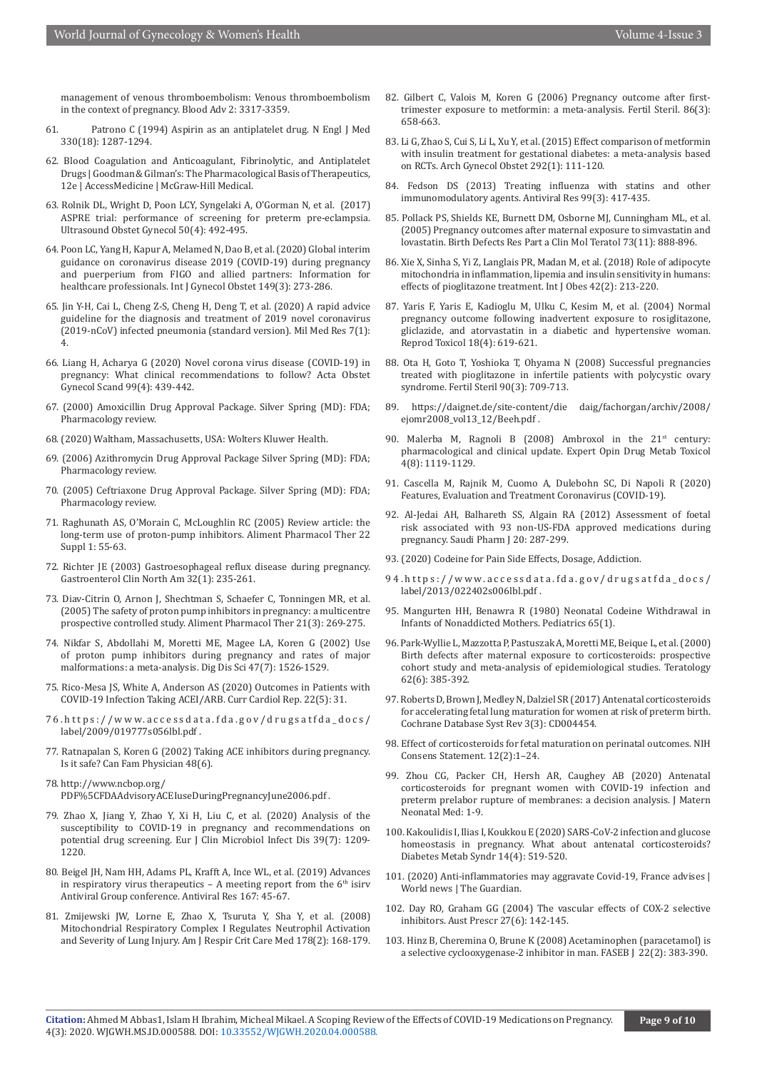[management of venous thromboembolism: Venous thromboembolism](https://pubmed.ncbi.nlm.nih.gov/30482767/)  [in the context of pregnancy. Blood Adv 2: 3317-3359.](https://pubmed.ncbi.nlm.nih.gov/30482767/)

- 61. [Patrono C \(1994\) Aspirin as an antiplatelet drug. N Engl J Med](https://pubmed.ncbi.nlm.nih.gov/8145785/)  [330\(18\): 1287-1294.](https://pubmed.ncbi.nlm.nih.gov/8145785/)
- 62. Blood Coagulation and Anticoagulant, Fibrinolytic, and Antiplatelet Drugs | Goodman & Gilman's: The Pharmacological Basis of Therapeutics, 12e | AccessMedicine | McGraw-Hill Medical.
- 63. [Rolnik DL, Wright D, Poon LCY, Syngelaki A, O'Gorman N, et al. \(2017\)](https://pubmed.ncbi.nlm.nih.gov/28741785/)  [ASPRE trial: performance of screening for preterm pre-eclampsia.](https://pubmed.ncbi.nlm.nih.gov/28741785/)  [Ultrasound Obstet Gynecol 50\(4\): 492-495.](https://pubmed.ncbi.nlm.nih.gov/28741785/)
- 64. [Poon LC, Yang H, Kapur A, Melamed N, Dao B, et al. \(2020\) Global interim](https://pubmed.ncbi.nlm.nih.gov/32248521/)  [guidance on coronavirus disease 2019 \(COVID-19\) during pregnancy](https://pubmed.ncbi.nlm.nih.gov/32248521/)  [and puerperium from FIGO and allied partners: Information for](https://pubmed.ncbi.nlm.nih.gov/32248521/)  [healthcare professionals. Int J Gynecol Obstet 149\(3\): 273-286.](https://pubmed.ncbi.nlm.nih.gov/32248521/)
- 65. Jin Y-H, Cai L, Cheng Z-S, Cheng H, Deng T, et al. (2020) A rapid advice guideline for the diagnosis and treatment of 2019 novel coronavirus (2019-nCoV) infected pneumonia (standard version). Mil Med Res 7(1): 4.
- 66. [Liang H, Acharya G \(2020\) Novel corona virus disease \(COVID-19\) in](https://obgyn.onlinelibrary.wiley.com/doi/full/10.1111/aogs.13836)  [pregnancy: What clinical recommendations to follow? Acta Obstet](https://obgyn.onlinelibrary.wiley.com/doi/full/10.1111/aogs.13836)  [Gynecol Scand 99\(4\): 439-442.](https://obgyn.onlinelibrary.wiley.com/doi/full/10.1111/aogs.13836)
- 67. (2000) Amoxicillin Drug Approval Package. Silver Spring (MD): FDA; Pharmacology review.
- 68. (2020) Waltham, Massachusetts, USA: Wolters Kluwer Health.
- 69. (2006) Azithromycin Drug Approval Package Silver Spring (MD): FDA; Pharmacology review.
- 70. (2005) Ceftriaxone Drug Approval Package. Silver Spring (MD): FDA; Pharmacology review.
- 71. [Raghunath AS, O'Morain C, McLoughlin RC \(2005\) Review article: the](https://pubmed.ncbi.nlm.nih.gov/16042660/)  [long-term use of proton-pump inhibitors. Aliment Pharmacol Ther 22](https://pubmed.ncbi.nlm.nih.gov/16042660/)  [Suppl 1: 55-63.](https://pubmed.ncbi.nlm.nih.gov/16042660/)
- 72. [Richter JE \(2003\) Gastroesophageal reflux disease during pregnancy.](https://pubmed.ncbi.nlm.nih.gov/12635418/)  [Gastroenterol Clin North Am 32\(1\): 235-261.](https://pubmed.ncbi.nlm.nih.gov/12635418/)
- 73. [Diav-Citrin O, Arnon J, Shechtman S, Schaefer C, Tonningen MR, et al.](https://pubmed.ncbi.nlm.nih.gov/15691301/)  [\(2005\) The safety of proton pump inhibitors in pregnancy: a multicentre](https://pubmed.ncbi.nlm.nih.gov/15691301/)  [prospective controlled study. Aliment Pharmacol Ther 21\(3\): 269-275.](https://pubmed.ncbi.nlm.nih.gov/15691301/)
- 74. [Nikfar S, Abdollahi M, Moretti ME, Magee LA, Koren G \(2002\) Use](https://pubmed.ncbi.nlm.nih.gov/12141812/)  [of proton pump inhibitors during pregnancy and rates of major](https://pubmed.ncbi.nlm.nih.gov/12141812/)  [malformations: a meta-analysis. Dig Dis Sci 47\(7\): 1526-1529.](https://pubmed.ncbi.nlm.nih.gov/12141812/)
- 75. [Rico-Mesa JS, White A, Anderson AS \(2020\) Outcomes in Patients with](https://pubmed.ncbi.nlm.nih.gov/32291526/)  [COVID-19 Infection Taking ACEI/ARB. Curr Cardiol Rep. 22\(5\): 31.](https://pubmed.ncbi.nlm.nih.gov/32291526/)
- 76.https://www.accessdata.fda.gov/drugsatfda\_docs/ label/2009/019777s056lbl.pdf .
- 77. Ratnapalan S, Koren G (2002) Taking ACE inhibitors during pregnancy. Is it safe? Can Fam Physician 48(6).

78. http://www.ncbop.org/ PDF%5CFDAAdvisoryACEIuseDuringPregnancyJune2006.pdf .

- 79. [Zhao X, Jiang Y, Zhao Y, Xi H, Liu C, et al. \(2020\) Analysis of the](https://pubmed.ncbi.nlm.nih.gov/32328850/)  [susceptibility to COVID-19 in pregnancy and recommendations on](https://pubmed.ncbi.nlm.nih.gov/32328850/)  [potential drug screening. Eur J Clin Microbiol Infect Dis 39\(7\): 1209-](https://pubmed.ncbi.nlm.nih.gov/32328850/) [1220.](https://pubmed.ncbi.nlm.nih.gov/32328850/)
- 80. [Beigel JH, Nam HH, Adams PL, Krafft A, Ince WL, et al. \(2019\) Advances](https://pubmed.ncbi.nlm.nih.gov/30974127/)  in respiratory virus therapeutics  $-$  A meeting report from the  $6<sup>th</sup>$  isirv [Antiviral Group conference. Antiviral Res 167: 45-67.](https://pubmed.ncbi.nlm.nih.gov/30974127/)
- 81. [Zmijewski JW, Lorne E, Zhao X, Tsuruta Y, Sha Y, et al. \(2008\)](https://pubmed.ncbi.nlm.nih.gov/18436790/)  [Mitochondrial Respiratory Complex I Regulates Neutrophil Activation](https://pubmed.ncbi.nlm.nih.gov/18436790/)  [and Severity of Lung Injury. Am J Respir Crit Care Med 178\(2\): 168-179.](https://pubmed.ncbi.nlm.nih.gov/18436790/)
- 82. [Gilbert C, Valois M, Koren G \(2006\) Pregnancy outcome after first](https://pubmed.ncbi.nlm.nih.gov/16879826/)[trimester exposure to metformin: a meta-analysis. Fertil Steril. 86\(3\):](https://pubmed.ncbi.nlm.nih.gov/16879826/) [658-663.](https://pubmed.ncbi.nlm.nih.gov/16879826/)
- 83. [Li G, Zhao S, Cui S, Li L, Xu Y, et al. \(2015\) Effect comparison of metformin](https://pubmed.ncbi.nlm.nih.gov/25547060/) [with insulin treatment for gestational diabetes: a meta-analysis based](https://pubmed.ncbi.nlm.nih.gov/25547060/) [on RCTs. Arch Gynecol Obstet 292\(1\): 111-120.](https://pubmed.ncbi.nlm.nih.gov/25547060/)
- 84. [Fedson DS \(2013\) Treating influenza with statins and other](https://pubmed.ncbi.nlm.nih.gov/23831494/) [immunomodulatory agents. Antiviral Res 99\(3\): 417-435.](https://pubmed.ncbi.nlm.nih.gov/23831494/)
- 85. [Pollack PS, Shields KE, Burnett DM, Osborne MJ, Cunningham ML, et al.](https://onlinelibrary.wiley.com/doi/abs/10.1002/bdra.20181) [\(2005\) Pregnancy outcomes after maternal exposure to simvastatin and](https://onlinelibrary.wiley.com/doi/abs/10.1002/bdra.20181) [lovastatin. Birth Defects Res Part a Clin Mol Teratol 73\(11\): 888-896.](https://onlinelibrary.wiley.com/doi/abs/10.1002/bdra.20181)
- 86. [Xie X, Sinha S, Yi Z, Langlais PR, Madan M, et al. \(2018\) Role of adipocyte](https://pubmed.ncbi.nlm.nih.gov/29087390/) [mitochondria in inflammation, lipemia and insulin sensitivity in humans:](https://pubmed.ncbi.nlm.nih.gov/29087390/) [effects of pioglitazone treatment. Int J Obes 42\(2\): 213-220.](https://pubmed.ncbi.nlm.nih.gov/29087390/)
- 87. [Yaris F, Yaris E, Kadioglu M, Ulku C, Kesim M, et al. \(2004\) Normal](https://pubmed.ncbi.nlm.nih.gov/15135857/) [pregnancy outcome following inadvertent exposure to rosiglitazone,](https://pubmed.ncbi.nlm.nih.gov/15135857/) [gliclazide, and atorvastatin in a diabetic and hypertensive woman.](https://pubmed.ncbi.nlm.nih.gov/15135857/) [Reprod Toxicol 18\(4\): 619-621.](https://pubmed.ncbi.nlm.nih.gov/15135857/)
- 88. [Ota H, Goto T, Yoshioka T, Ohyama N \(2008\) Successful pregnancies](https://pubmed.ncbi.nlm.nih.gov/18423625/) [treated with pioglitazone in infertile patients with polycystic ovary](https://pubmed.ncbi.nlm.nih.gov/18423625/) [syndrome. Fertil Steril 90\(3\): 709-713.](https://pubmed.ncbi.nlm.nih.gov/18423625/)
- 89. https://daignet.de/site-content/die daig/fachorgan/archiv/2008/ ejomr2008\_vol13\_12/Beeh.pdf.
- 90. [Malerba M, Ragnoli B \(2008\) Ambroxol in the 21](https://pubmed.ncbi.nlm.nih.gov/18680446/)<sup>st</sup> century: [pharmacological and clinical update. Expert Opin Drug Metab Toxicol](https://pubmed.ncbi.nlm.nih.gov/18680446/) [4\(8\): 1119-1129.](https://pubmed.ncbi.nlm.nih.gov/18680446/)
- 91. [Cascella M, Rajnik M, Cuomo A, Dulebohn SC, Di Napoli R \(2020\)](https://pubmed.ncbi.nlm.nih.gov/32150360/) [Features, Evaluation and Treatment Coronavirus \(COVID-19\).](https://pubmed.ncbi.nlm.nih.gov/32150360/)
- 92. [Al-Jedai AH, Balhareth SS, Algain RA \(2012\) Assessment of foetal](https://pubmed.ncbi.nlm.nih.gov/23960803/) [risk associated with 93 non-US-FDA approved medications during](https://pubmed.ncbi.nlm.nih.gov/23960803/) [pregnancy. Saudi Pharm J 20: 287-299.](https://pubmed.ncbi.nlm.nih.gov/23960803/)
- 93. (2020) Codeine for Pain Side Effects, Dosage, Addiction.
- 94.https://www.accessdata.fda.gov/drugsatfda\_docs/ label/2013/022402s006lbl.pdf .
- 95. Mangurten HH, Benawra R (1980) Neonatal Codeine Withdrawal in Infants of Nonaddicted Mothers. Pediatrics 65(1).
- 96. [Park-Wyllie L, Mazzotta P, Pastuszak A, Moretti ME, Beique L, et al. \(2000\)](https://pubmed.ncbi.nlm.nih.gov/11091360/) [Birth defects after maternal exposure to corticosteroids: prospective](https://pubmed.ncbi.nlm.nih.gov/11091360/) [cohort study and meta-analysis of epidemiological studies. Teratology](https://pubmed.ncbi.nlm.nih.gov/11091360/) [62\(6\): 385-392.](https://pubmed.ncbi.nlm.nih.gov/11091360/)
- 97. [Roberts D, Brown J, Medley N, Dalziel SR \(2017\) Antenatal corticosteroids](https://pubmed.ncbi.nlm.nih.gov/28321847/) [for accelerating fetal lung maturation for women at risk of preterm birth.](https://pubmed.ncbi.nlm.nih.gov/28321847/) [Cochrane Database Syst Rev 3\(3\): CD004454.](https://pubmed.ncbi.nlm.nih.gov/28321847/)
- 98. Effect of corticosteroids for fetal maturation on perinatal outcomes. NIH Consens Statement. 12(2):1–24.
- 99. [Zhou CG, Packer CH, Hersh AR, Caughey AB \(2020\) Antenatal](https://pubmed.ncbi.nlm.nih.gov/32429722/) [corticosteroids for pregnant women with COVID-19 infection and](https://pubmed.ncbi.nlm.nih.gov/32429722/) [preterm prelabor rupture of membranes: a decision analysis. J Matern](https://pubmed.ncbi.nlm.nih.gov/32429722/) [Neonatal Med: 1-9.](https://pubmed.ncbi.nlm.nih.gov/32429722/)
- 100. [Kakoulidis I, Ilias I, Koukkou E \(2020\) SARS-CoV-2 infection and glucose](https://pubmed.ncbi.nlm.nih.gov/32388332/) [homeostasis in pregnancy. What about antenatal corticosteroids?](https://pubmed.ncbi.nlm.nih.gov/32388332/) [Diabetes Metab Syndr 14\(4\): 519-520.](https://pubmed.ncbi.nlm.nih.gov/32388332/)
- 101. (2020) Anti-inflammatories may aggravate Covid-19, France advises | World news | The Guardian.
- 102. Day RO, Graham GG (2004) The vascular effects of COX-2 selective inhibitors. Aust Prescr 27(6): 142-145.
- 103. [Hinz B, Cheremina O, Brune K \(2008\) Acetaminophen \(paracetamol\) is](https://pubmed.ncbi.nlm.nih.gov/17884974/) [a selective cyclooxygenase‐2 inhibitor in man. FASEB J 22\(2\): 383-390.](https://pubmed.ncbi.nlm.nih.gov/17884974/)